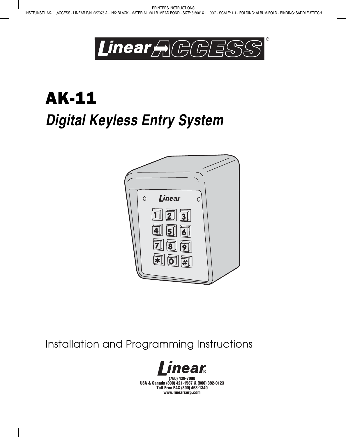

# AK-11 *Digital Keyless Entry System*



Installation and Programming Instructions



(760) 438-7000 USA & Canada (800) 421-1587 & (800) 392-0123 Toll Free FAX (800) 468-1340 www.linearcorp.com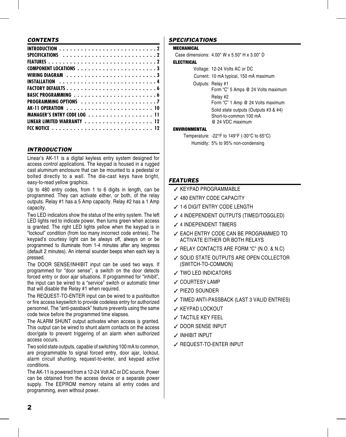### *CONTENTS*

| MANAGER'S ENTRY CODE LOG 11 |  |  |  |  |  |  |  |
|-----------------------------|--|--|--|--|--|--|--|
|                             |  |  |  |  |  |  |  |
|                             |  |  |  |  |  |  |  |

# *INTRODUCTION*

Linear's AK-11 is a digital keyless entry system designed for access control applications. The keypad is housed in a rugged cast aluminum enclosure that can be mounted to a pedestal or bolted directly to a wall. The die-cast keys have bright, easy-to-read yellow graphics.

Up to 480 entry codes, from 1 to 6 digits in length, can be programmed. They can activate either, or both, of the relay outputs. Relay #1 has a 5 Amp capacity. Relay #2 has a 1 Amp capacity.

Two LED indicators show the status of the entry system. The left LED lights red to indicate power, then turns green when access is granted. The right LED lights yellow when the keypad is in "lockout" condition (from too many incorrect code entries). The keypad's courtesy light can be always off, always on or be programmed to illuminate from 1-4 minutes after any keypress (default 2 minutes). An internal sounder beeps when each key is pressed.

The DOOR SENSE/INHIBIT input can be used two ways. If programmed for "door sense", a switch on the door detects forced entry or door ajar situations. If programmed for "inhibit", the input can be wired to a "service" switch or automatic timer that will disable the Relay #1 when required.

The REQUEST-TO-ENTER input can be wired to a pushbutton or fire access keyswitch to provide codeless entry for authorized personnel. The "anti-passback" feature prevents using the same code twice before the programmed time elapses.

The ALARM SHUNT output activates when access is granted. This output can be wired to shunt alarm contacts on the access door/gate to prevent triggering of an alarm when authorized access occurs.

Two solid state outputs, capable of switching 100 mA to common, are programmable to signal forced entry, door ajar, lockout, alarm circuit shunting, request-to-enter, and keypad active conditions.

The AK-11 is powered from a 12-24 Volt AC or DC source. Power can be obtained from the access device or a separate power supply. The EEPROM memory retains all entry codes and programming, even without power.

# *SPECIFICATIONS*

MECHANICAL

Case dimensions: 4.00" W x 5.50" H x 3.00" D

#### **ELECTRICAL**

Voltage: 12-24 Volts AC or DC Current: 10 mA typical, 150 mA maximum Outputs: Relay #1 Form "C" 5 Amps @ 24 Volts maximum Relay #2 Form "C" 1 Amp @ 24 Volts maximum Solid state outputs (Outputs #3 & #4) Short-to-common 100 mA @ 24 VDC maximum

#### **ENVIRONMENTAL**

Temperature: -22°F to 149°F (-30°C to 65°C) Humidity: 5% to 95% non-condensing

# *FEATURES*

- ✓ KEYPAD PROGRAMMABLE
- ✓ 480 ENTRY CODE CAPACITY
- ✓ 1-6 DIGIT ENTRY CODE LENGTH
- ✓ 4 INDEPENDENT OUTPUTS (TIMED/TOGGLED)
- ✓ 4 INDEPENDENT TIMERS
- ✓ EACH ENTRY CODE CAN BE PROGRAMMED TO ACTIVATE EITHER OR BOTH RELAYS
- ✓ RELAY CONTACTS ARE FORM "C" (N.O. & N.C)
- ✓ SOLID STATE OUTPUTS ARE OPEN COLLECTOR (SWITCH-TO-COMMON)
- ✓ TWO LED INDICATORS
- ✓ COURTESY LAMP
- ✓ PIEZO SOUNDER
- ✓ TIMED ANTI-PASSBACK (LAST 3 VALID ENTRIES)
- ✓ KEYPAD LOCKOUT
- ✓ TACTILE KEY FEEL
- ✓ DOOR SENSE INPUT
- ✓ INHIBIT INPUT
- ✓ REQUEST-TO-ENTER INPUT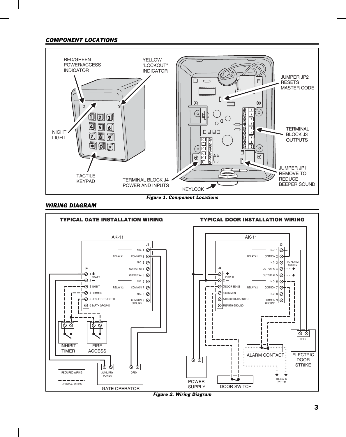# *COMPONENT LOCATIONS*



*Figure 1. Component Locations*

#### *WIRING DIAGRAM*



*Figure 2. Wiring Diagram*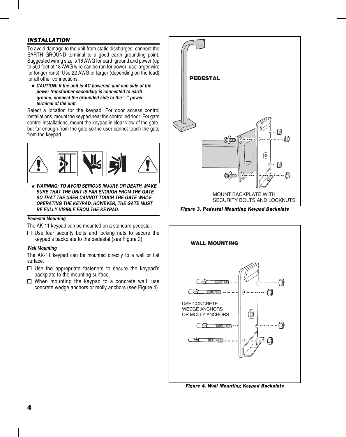# *INSTALLATION*

To avoid damage to the unit from static discharges, connect the EARTH GROUND terminal to a good earth grounding point. Suggested wiring size is 18 AWG for earth ground and power (up to 500 feet of 18 AWG wire can be run for power, use larger wire for longer runs). Use 22 AWG or larger (depending on the load) for all other connections.

✦ *CAUTION: If the unit is AC powered, and one side of the power transformer secondary is connected to earth ground, connect the grounded side to the "-" power terminal of the unit.*

Select a location for the keypad. For door access control installations, mount the keypad near the controlled door. For gate control installations, mount the keypad in clear view of the gate, but far enough from the gate so the user cannot touch the gate from the keypad.



★ *WARNING: TO AVOID SERIOUS INJURY OR DEATH, MAKE SURE THAT THE UNIT IS FAR ENOUGH FROM THE GATE SO THAT THE USER CANNOT TOUCH THE GATE WHILE OPERATING THE KEYPAD. HOWEVER, THE GATE MUST BE FULLY VISIBLE FROM THE KEYPAD.*

#### *Pedestal Mounting*

The AK-11 keypad can be mounted on a standard pedestal.

 $\Box$  Use four security bolts and locking nuts to secure the keypad's backplate to the pedestal (see Figure 3).

#### *Wall Mounting*

The AK-11 keypad can be mounted directly to a wall or flat surface.

- $\Box$  Use the appropriate fasteners to secure the keypad's backplate to the mounting surface.
- $\Box$  When mounting the keypad to a concrete wall, use concrete wedge anchors or molly anchors (see Figure 4).





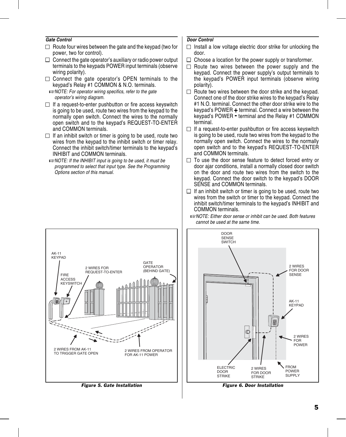#### *Gate Control*

- $\Box$  Route four wires between the gate and the keypad (two for power, two for control).
- $\Box$  Connect the gate operator's auxiliary or radio power output terminals to the keypads POWER input terminals (observe wiring polarity).
- $\Box$  Connect the gate operator's OPEN terminals to the keypad's Relay #1 COMMON & N.O. terminals.

☞*NOTE: For operator wiring specifics, refer to the gate operator's wiring diagram.*

- $\Box$  If a request-to-enter pushbutton or fire access keyswitch is going to be used, route two wires from the keypad to the normally open switch. Connect the wires to the normally open switch and to the keypad's REQUEST-TO-ENTER and COMMON terminals.
- $\Box$  If an inhibit switch or timer is going to be used, route two wires from the keypad to the inhibit switch or timer relay. Connect the inhibit switch/timer terminals to the keypad's INHIBIT and COMMON terminals.
- ☞*NOTE: If the INHIBIT input is going to be used, it must be programmed to select that input type. See the Programming Options section of this manual.*

#### *Door Control*

- $\Box$  Install a low voltage electric door strike for unlocking the door.
- $\Box$  Choose a location for the power supply or transformer.
- $\Box$  Route two wires between the power supply and the keypad. Connect the power supply's output terminals to the keypad's POWER input terminals (observe wiring polarity).
- $\Box$  Route two wires between the door strike and the keypad. Connect one of the door strike wires to the keypad's Relay #1 N.O. terminal. Connect the other door strike wire to the keypad's POWER **+** terminal. Connect a wire between the keypad's POWER **-** terminal and the Relay #1 COMMON terminal.
- $\Box$  If a request-to-enter pushbutton or fire access keyswitch is going to be used, route two wires from the keypad to the normally open switch. Connect the wires to the normally open switch and to the keypad's REQUEST-TO-ENTER and COMMON terminals.
- $\Box$  To use the door sense feature to detect forced entry or door ajar conditions, install a normally closed door switch on the door and route two wires from the switch to the keypad. Connect the door switch to the keypad's DOOR SENSE and COMMON terminals.
- $\Box$  If an inhibit switch or timer is going to be used, route two wires from the switch or timer to the keypad. Connect the inhibit switch/timer terminals to the keypad's INHIBIT and COMMON terminals.



*Figure 5. Gate Installation*





*Figure 6. Door Installation*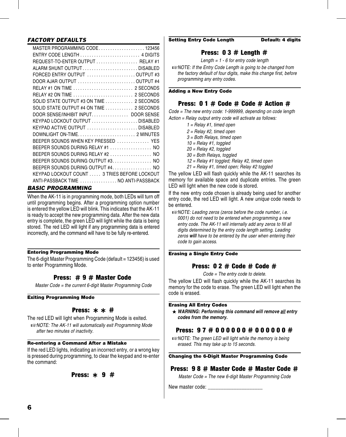# *FACTORY DEFAULTS*

| MASTER PROGRAMMING CODE123456                |
|----------------------------------------------|
| ENTRY CODE LENGTH  4 DIGITS                  |
| REQUEST-TO-ENTER OUTPUT  RELAY #1            |
| ALARM SHUNT OUTPUTDISABLED                   |
| FORCED ENTRY OUTPUT OUTPUT #3                |
| DOOR AJAR OUTPUT OUTPUT #4                   |
| RELAY #1 ON TIME  2 SECONDS                  |
| RELAY #2 ON TIME  2 SECONDS                  |
| SOLID STATE OUTPUT #3 ON TIME  2 SECONDS     |
| SOLID STATE OUTPUT #4 ON TIME  2 SECONDS     |
| DOOR SENSE/INHIBIT INPUT DOOR SENSE          |
| KEYPAD LOCKOUT OUTPUT DISABLED               |
| KEYPAD ACTIVE OUTPUT DISABLED                |
| DOWNLIGHT ON-TIME2 MINUTES                   |
| BEEPER SOUNDS WHEN KEY PRESSED  YES          |
| BEEPER SOUNDS DURING RELAY #1  NO            |
| BEEPER SOUNDS DURING RELAY #2  NO            |
| BEEPER SOUNDS DURING OUTPUT #3 NO            |
| BEEPER SOUNDS DURING OUTPUT #4. NO           |
| KEYPAD LOCKOUT COUNT  3 TRIES BEFORE LOCKOUT |
| ANTI-PASSBACK TIME  NO ANTI-PASSBACK         |

# *BASIC PROGRAMMING*

When the AK-11 is in programming mode, both LEDs will turn off until programming begins. After a programming option number is entered the yellow LED will blink. This indicates that the AK-11 is ready to accept the new programming data. After the new data entry is complete, the green LED will light while the data is being stored. The red LED will light if any programming data is entered incorrectly, and the command will have to be fully re-entered.

### Entering Programming Mode

The 6-digit Master Programming Code (default = 123456) is used to enter Programming Mode.

# Press: # 9 # Master Code

*Master Code = the current 6-digit Master Programming Code*

#### Exiting Programming Mode

**Press:**  $* * #$ <br>The red LED will light when Programming Mode is exited. ☞*NOTE: The AK-11 will automatically exit Programming Mode after two minutes of inactivity.*

### Re-entering a Command After a Mistake

If the red LED lights, indicating an incorrect entry, or a wrong key is pressed during programming, to clear the keypad and re-enter the command:

# Press: **\*** 9 #

#### Setting Entry Code Length Default: 4 digits

# Press:  $03 #$  Length  $#$

*Length = 1 - 6 for entry code length*

☞*NOTE: If the Entry Code Length is going to be changed from the factory default of four digits, make this change first, before programming any entry codes.*

#### Adding a New Entry Code

# Press: 0 1 # Code # Code # Action #

*Code = The new entry code: 1-999999, depending on code length Action = Relay output entry code will activate as follows:*

> *1 = Relay #1, timed open 2 = Relay #2, timed open 3 = Both Relays, timed open 10 = Relay #1, toggled 20 = Relay #2, toggled 30 = Both Relays, toggled 12 = Relay #1 toggled; Relay #2, timed open 21 = Relay #1, timed open; Relay #2 toggled*

The yellow LED will flash quickly while the AK-11 searches its memory for available space and duplicate entries. The green LED will light when the new code is stored.

If the new entry code chosen is already being used for another entry code, the red LED will light. A new *unique* code needs to be entered.

☞*NOTE: Leading zeros (zeros before the code number, i.e. 0001) do not need to be entered when programming a new entry code. The AK-11 will internally add any zeros to fill all digits determined by the entry code length setting. Leading zeros will have to be entered by the user when entering their code to gain access.*

#### Erasing a Single Entry Code

# Press: 0 2 # Code # Code #

*Code = The entry code to delete.*

The yellow LED will flash quickly while the AK-11 searches its memory for the code to erase. The green LED will light when the code is erased.

#### Erasing All Entry Codes

★ *WARNING: Performing this command will remove all entry codes from the memory.*

# Press: 97 # 000000 # 000000 #

☞*NOTE: The green LED will light while the memory is being erased. This may take up to 15 seconds.*

#### Changing the 6-Digit Master Programming Code

# Press: 9 8 # Master Code # Master Code #

*Master Code = The new 6-digit Master Programming Code*

New master code: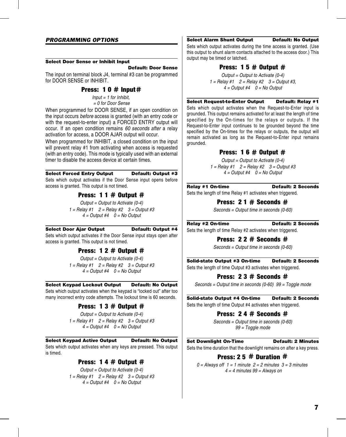#### Select Door Sense or Inhibit Input

#### Default: Door Sense

The input on terminal block J4, terminal #3 can be programmed for DOOR SENSE or INHIBIT.

# Press:  $10 \#$  Input  $#$

*Input = 1 for Inhibit, = 0 for Door Sense*

When programmed for DOOR SENSE, if an open condition on the input occurs *before* access is granted (with an entry code or with the request-to-enter input) a FORCED ENTRY output will occur. If an open condition remains *60 seconds after* a relay activation for access, a DOOR AJAR output will occur.

When programmed for INHIBIT, a closed condition on the input will prevent relay #1 from activating when access is requested (with an entry code). This mode is typically used with an external timer to disable the access device at certain times.

#### Select Forced Entry Output Default: Output #3

Sets which output activates if the Door Sense input opens before access is granted. This output is not timed.

# Press: 1 1  $\#$  Output  $\#$

*Output = Output to Activate (0-4) 1 = Relay #1 2 = Relay #2 3 = Output #3 4 = Output #4 0 = No Output*

#### Select Door Ajar Output Default: Output #4

Sets which output activates if the Door Sense input stays open after access is granted. This output is not timed.

# Press: 1 2  $\#$  Output  $\#$

*Output = Output to Activate (0-4) 1 = Relay #1 2 = Relay #2 3 = Output #3 4 = Output #4 0 = No Output*

#### Select Keypad Lockout Output Default: No Output

Sets which output activates when the keypad is "locked out" after too many incorrect entry code attempts. The lockout time is 60 seconds.

# Press:  $13 #$  Output  $#$

*Output = Output to Activate (0-4) 1 = Relay #1 2 = Relay #2 3 = Output #3 4 = Output #4 0 = No Output*

Select Keypad Active Output Default: No Output

Sets which output activates when any keys are pressed. This output is timed.

# Press: 1 4  $\#$  Output  $\#$

*Output = Output to Activate (0-4) 1 = Relay #1 2 = Relay #2 3 = Output #3 4 = Output #4 0 = No Output*

Select Alarm Shunt Output Default: No Output Sets which output activates during the time access is granted. (Use this output to shunt alarm contacts attached to the access door.) This

# Press:  $15 \#$  Output  $\#$

*Output = Output to Activate (0-4) 1 = Relay #1 2 = Relay #2 3 = Output #3, 4 = Output #4 0 = No Output*

#### Select Request-to-Enter Output Default: Relay #1

Sets which output activates when the Request-to-Enter input is grounded. This output remains activated for at least the length of time specified by the On-times for the relays or outputs. If the Request-to-Enter input continues to be grounded beyond the time specified by the On-times for the relays or outputs, the output will remain activated as long as the Request-to-Enter input remains grounded.

# Press: 1 6  $\#$  Output  $\#$

*Output = Output to Activate (0-4) 1 = Relay #1 2 = Relay #2 3 = Output #3 4 = Output #4 0 = No Output*

#### Relay #1 On-time Default: 2 Seconds

output may be timed or latched.

Sets the length of time Relay #1 activates when triggered.

# Press: 2 1 # Seconds #

*Seconds = Output time in seconds (0-60)*

Relay #2 On-time Default: 2 Seconds

Sets the length of time Relay #2 activates when triggered.

### Press: 2 2 # Seconds #

*Seconds = Output time in seconds (0-60)*

Solid-state Output #3 On-time Default: 2 Seconds Sets the length of time Output #3 activates when triggered.

### Press: 2 3 # Seconds #

*Seconds = Output time in seconds (0-60) 99 = Toggle mode*

Solid-state Output #4 On-time Default: 2 Seconds Sets the length of time Output #4 activates when triggered.

# Press: 2 4 # Seconds #

*Seconds = Output time in seconds (0-60) 99 = Toggle mode*

#### **Set Downlight On-Time Default: 2 Minutes**

Sets the time duration that the downlight remains on after a key press.

# Press: 2 5 # Duration #

*0 = Always off 1 = 1 minute 2 = 2 minutes 3 = 3 minutes 4 = 4 minutes 99 = Always on*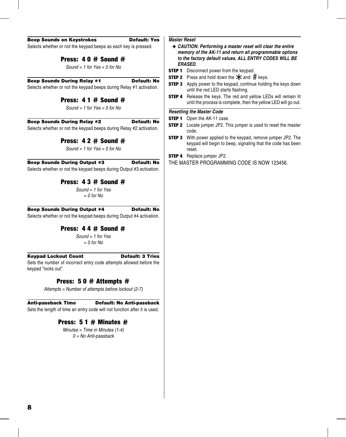#### Beep Sounds on Keystrokes Default: Yes

Selects whether or not the keypad beeps as each key is pressed.

## Press: 4 0 # Sound #

*Sound = 1 for Yes = 0 for No*

#### Beep Sounds During Relay #1 Default: No

Selects whether or not the keypad beeps during Relay #1 activation.

# Press: 4 1 # Sound #

*Sound = 1 for Yes = 0 for No*

#### Beep Sounds During Relay #2 Default: No

Selects whether or not the keypad beeps during Relay #2 activation.

# Press: 4 2 # Sound #

*Sound = 1 for Yes = 0 for No*

Beep Sounds During Output #3 Default: No Selects whether or not the keypad beeps during Output #3 activation.

# Press: 4 3 # Sound #

*Sound = 1 for Yes = 0 for No*

#### Beep Sounds During Output #4 Default: No

Selects whether or not the keypad beeps during Output #4 activation.

# Press: 4 4 # Sound #

*Sound = 1 for Yes = 0 for No*

#### Keypad Lockout Count **Default: 3 Tries**

Sets the number of incorrect entry code attempts allowed before the keypad "locks out".

# Press: 5 0 # Attempts #

*Attempts = Number of attempts before lockout (2-7)*

# Anti-passback Time Default: No Anti-passback

Sets the length of time an entry code will not function after it is used.

# Press:  $51 \#$  Minutes  $\#$

*Minutes = Time in Minutes (1-4) 0 = No Anti-passback*

# *Master Reset*

- ✦ *CAUTION: Performing a master reset will clear the entire memory of the AK-11 and return all programmable options to the factory default values. ALL ENTRY CODES WILL BE ERASED.*
- **STEP 1** Disconnect power from the keypad.
- **STEP 2** Press and hold down the  $\star$  and # keys.
- **STEP 3** Apply power to the keypad, continue holding the keys down until the red LED starts flashing.
- **STEP 4** Release the keys. The red and yellow LEDs will remain lit until the process is complete, then the yellow LED will go out.

#### *Resetting the Master Code*

- **STEP 1** Open the AK-11 case.
- **STEP 2** Locate jumper JP2. This jumper is used to reset the master code.
- **STEP 3** With power applied to the keypad, remove jumper JP2. The keypad will begin to beep, signaling that the code has been reset.
- **STEP 4** Replace jumper JP2.

THE MASTER PROGRAMMING CODE IS NOW 123456.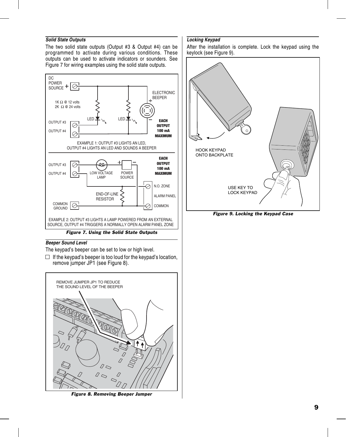#### *Solid State Outputs*

The two solid state outputs (Output #3 & Output #4) can be programmed to activate during various conditions. These outputs can be used to activate indicators or sounders. See Figure 7 for wiring examples using the solid state outputs.



### *Beeper Sound Level*

The keypad's beeper can be set to low or high level.

 $\Box$  If the keypad's beeper is too loud for the keypad's location, remove jumper JP1 (see Figure 8).



*Figure 8. Removing Beeper Jumper*

#### *Locking Keypad*

After the installation is complete. Lock the keypad using the keylock (see Figure 9).



*Figure 9. Locking the Keypad Case*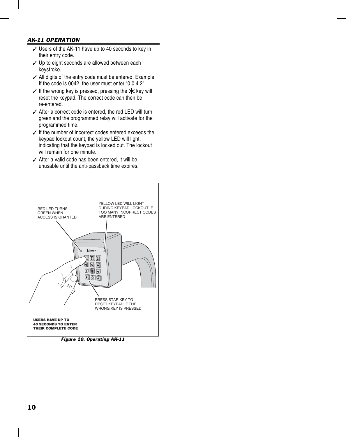# *AK-11 OPERATION*

- ✓ Users of the AK-11 have up to 40 seconds to key in their entry code.
- ✓ Up to eight seconds are allowed between each keystroke.
- ✓ All digits of the entry code must be entered. Example: If the code is 0042, the user must enter "0 0 4 2".
- $\checkmark$  If the wrong key is pressed, pressing the  $\star$  key will reset the keypad. The correct code can then be re-entered.
- ✓ After a correct code is entered, the red LED will turn green and the programmed relay will activate for the programmed time.
- ✓ If the number of incorrect codes entered exceeds the keypad lockout count, the yellow LED will light, indicating that the keypad is locked out. The lockout will remain for one minute.
- ✓ After a valid code has been entered, it will be unusable until the anti-passback time expires.



*Figure 10. Operating AK-11*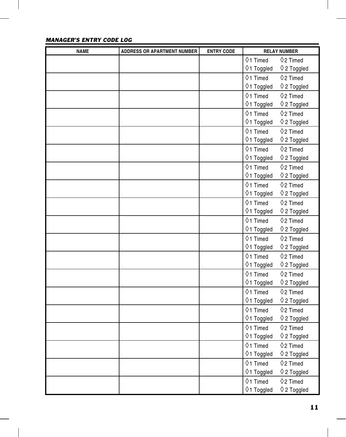| <b>NAME</b> | <b>ADDRESS OR APARTMENT NUMBER</b> | <b>ENTRY CODE</b> | <b>RELAY NUMBER</b>  |                      |
|-------------|------------------------------------|-------------------|----------------------|----------------------|
|             |                                    |                   | $\Diamond$ 1 Timed   | $\Diamond$ 2 Timed   |
|             |                                    |                   | ♦1 Toggled           | $\Diamond$ 2 Toggled |
|             |                                    |                   | $\Diamond$ 1 Timed   | $\Diamond$ 2 Timed   |
|             |                                    |                   | ♦1 Toggled           | $\Diamond$ 2 Toggled |
|             |                                    |                   | $\diamond$ 1 Timed   | $\Diamond$ 2 Timed   |
|             |                                    |                   | $\Diamond$ 1 Toggled | $\Diamond$ 2 Toggled |
|             |                                    |                   | $01$ Timed           | $\Diamond$ 2 Timed   |
|             |                                    |                   | ♦1 Toggled           | $\Diamond$ 2 Toggled |
|             |                                    |                   | $01$ Timed           | $\Diamond$ 2 Timed   |
|             |                                    |                   | ♦1 Toggled           | $\Diamond$ 2 Toggled |
|             |                                    |                   | $\lozenge$ 1 Timed   | $\Diamond$ 2 Timed   |
|             |                                    |                   | ♦1 Toggled           | $\Diamond$ 2 Toggled |
|             |                                    |                   | $01$ Timed           | $\Diamond$ 2 Timed   |
|             |                                    |                   | ♦1 Toggled           | $\Diamond$ 2 Toggled |
|             |                                    |                   | $01$ Timed           | $\Diamond$ 2 Timed   |
|             |                                    |                   | ♦1 Toggled           | $\Diamond$ 2 Toggled |
|             |                                    |                   | $01$ Timed           | $\Diamond$ 2 Timed   |
|             |                                    |                   | ♦1 Toggled           | $\Diamond$ 2 Toggled |
|             |                                    |                   | $\Diamond$ 1 Timed   | $\Diamond$ 2 Timed   |
|             |                                    |                   | ♦1 Toggled           | $\Diamond$ 2 Toggled |
|             |                                    |                   | $\diamond$ 1 Timed   | $\Diamond$ 2 Timed   |
|             |                                    |                   | ♦1 Toggled           | $\Diamond$ 2 Toggled |
|             |                                    |                   | $\diamond$ 1 Timed   | $\Diamond$ 2 Timed   |
|             |                                    |                   | ♦1 Toggled           | $\Diamond$ 2 Toggled |
|             |                                    |                   | $\diamond$ 1 Timed   | $\Diamond$ 2 Timed   |
|             |                                    |                   | ♦1 Toggled           | $\Diamond$ 2 Toggled |
|             |                                    |                   | $01$ Timed           | $\Diamond$ 2 Timed   |
|             |                                    |                   | $\Diamond$ 1 Toggled | $\Diamond$ 2 Toggled |
|             |                                    |                   | $\lozenge$ 1 Timed   | $\Diamond$ 2 Timed   |
|             |                                    |                   | $\Diamond$ 1 Toggled | $\Diamond$ 2 Toggled |
|             |                                    |                   | $\diamond$ 1 Timed   | $\Diamond$ 2 Timed   |
|             |                                    |                   | $\Diamond$ 1 Toggled | $\Diamond$ 2 Toggled |
|             |                                    |                   | $\lozenge$ 1 Timed   | $\Diamond$ 2 Timed   |
|             |                                    |                   | ♦1 Toggled           | $\Diamond$ 2 Toggled |
|             |                                    |                   | $\Diamond$ 1 Timed   | $\Diamond$ 2 Timed   |
|             |                                    |                   | $\Diamond$ 1 Toggled | $\Diamond$ 2 Toggled |
|             |                                    |                   | $\Diamond$ 1 Timed   | $\Diamond$ 2 Timed   |
|             |                                    |                   | ♦1 Toggled           | $\Diamond$ 2 Toggled |